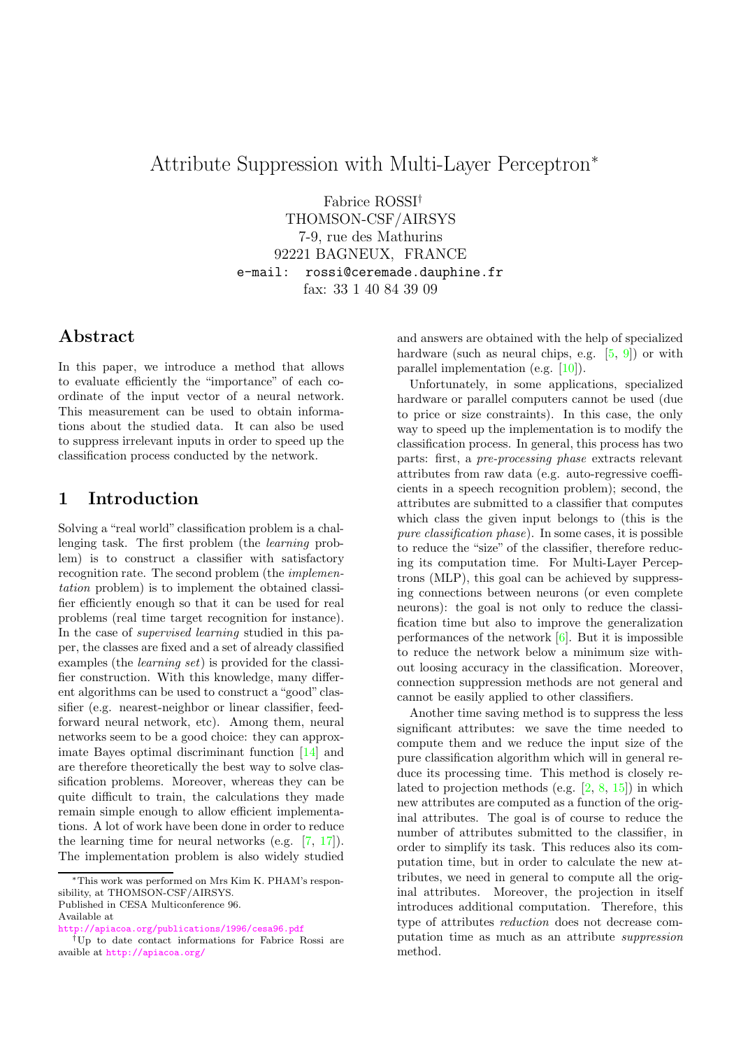# Attribute Suppression with Multi-Layer Perceptron<sup>∗</sup>

Fabrice ROSSI† THOMSON-CSF/AIRSYS 7-9, rue des Mathurins 92221 BAGNEUX, FRANCE e-mail: rossi@ceremade.dauphine.fr fax: 33 1 40 84 39 09

## Abstract

In this paper, we introduce a method that allows to evaluate efficiently the "importance" of each coordinate of the input vector of a neural network. This measurement can be used to obtain informations about the studied data. It can also be used to suppress irrelevant inputs in order to speed up the classification process conducted by the network.

## 1 Introduction

Solving a "real world" classification problem is a challenging task. The first problem (the learning problem) is to construct a classifier with satisfactory recognition rate. The second problem (the implementation problem) is to implement the obtained classifier efficiently enough so that it can be used for real problems (real time target recognition for instance). In the case of supervised learning studied in this paper, the classes are fixed and a set of already classified examples (the learning set) is provided for the classifier construction. With this knowledge, many different algorithms can be used to construct a "good" classifier (e.g. nearest-neighbor or linear classifier, feedforward neural network, etc). Among them, neural networks seem to be a good choice: they can approximate Bayes optimal discriminant function [\[14\]](#page-6-0) and are therefore theoretically the best way to solve classification problems. Moreover, whereas they can be quite difficult to train, the calculations they made remain simple enough to allow efficient implementations. A lot of work have been done in order to reduce the learning time for neural networks (e.g. [\[7,](#page-5-0) [17\]](#page-6-1)). The implementation problem is also widely studied

Available at

and answers are obtained with the help of specialized hardware (such as neural chips, e.g.  $[5, 9]$  $[5, 9]$  $[5, 9]$ ) or with parallel implementation (e.g. [\[10\]](#page-5-3)).

Unfortunately, in some applications, specialized hardware or parallel computers cannot be used (due to price or size constraints). In this case, the only way to speed up the implementation is to modify the classification process. In general, this process has two parts: first, a pre-processing phase extracts relevant attributes from raw data (e.g. auto-regressive coefficients in a speech recognition problem); second, the attributes are submitted to a classifier that computes which class the given input belongs to (this is the pure classification phase). In some cases, it is possible to reduce the "size" of the classifier, therefore reducing its computation time. For Multi-Layer Perceptrons (MLP), this goal can be achieved by suppressing connections between neurons (or even complete neurons): the goal is not only to reduce the classification time but also to improve the generalization performances of the network [\[6\]](#page-5-4). But it is impossible to reduce the network below a minimum size without loosing accuracy in the classification. Moreover, connection suppression methods are not general and cannot be easily applied to other classifiers.

Another time saving method is to suppress the less significant attributes: we save the time needed to compute them and we reduce the input size of the pure classification algorithm which will in general reduce its processing time. This method is closely related to projection methods (e.g. [\[2,](#page-5-5) [8,](#page-5-6) [15\]](#page-6-2)) in which new attributes are computed as a function of the original attributes. The goal is of course to reduce the number of attributes submitted to the classifier, in order to simplify its task. This reduces also its computation time, but in order to calculate the new attributes, we need in general to compute all the original attributes. Moreover, the projection in itself introduces additional computation. Therefore, this type of attributes reduction does not decrease computation time as much as an attribute suppression method.

<sup>∗</sup>This work was performed on Mrs Kim K. PHAM's responsibility, at THOMSON-CSF/AIRSYS. Published in CESA Multiconference 96.

tp://apiacoa.org/publications/1996/cesa96.pdf

<sup>†</sup>Up to date contact informations for Fabrice Rossi are avaible at <http://apiacoa.org/>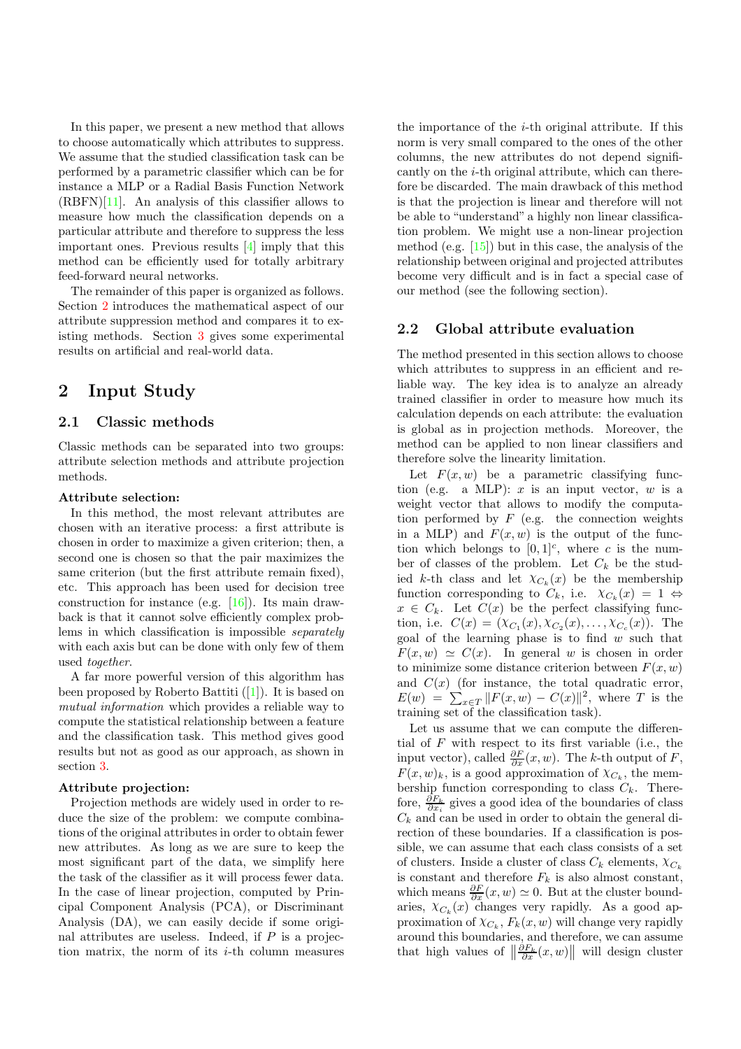In this paper, we present a new method that allows to choose automatically which attributes to suppress. We assume that the studied classification task can be performed by a parametric classifier which can be for instance a MLP or a Radial Basis Function Network (RBFN)[\[11\]](#page-5-7). An analysis of this classifier allows to measure how much the classification depends on a particular attribute and therefore to suppress the less important ones. Previous results [\[4\]](#page-5-8) imply that this method can be efficiently used for totally arbitrary feed-forward neural networks.

The remainder of this paper is organized as follows. Section [2](#page-1-0) introduces the mathematical aspect of our attribute suppression method and compares it to existing methods. Section [3](#page-3-0) gives some experimental results on artificial and real-world data.

### <span id="page-1-0"></span>2 Input Study

#### 2.1 Classic methods

Classic methods can be separated into two groups: attribute selection methods and attribute projection methods.

#### Attribute selection:

In this method, the most relevant attributes are chosen with an iterative process: a first attribute is chosen in order to maximize a given criterion; then, a second one is chosen so that the pair maximizes the same criterion (but the first attribute remain fixed), etc. This approach has been used for decision tree construction for instance (e.g. [\[16\]](#page-6-3)). Its main drawback is that it cannot solve efficiently complex problems in which classification is impossible separately with each axis but can be done with only few of them used together.

A far more powerful version of this algorithm has been proposed by Roberto Battiti ([\[1\]](#page-5-9)). It is based on mutual information which provides a reliable way to compute the statistical relationship between a feature and the classification task. This method gives good results but not as good as our approach, as shown in section [3.](#page-3-0)

#### Attribute projection:

Projection methods are widely used in order to reduce the size of the problem: we compute combinations of the original attributes in order to obtain fewer new attributes. As long as we are sure to keep the most significant part of the data, we simplify here the task of the classifier as it will process fewer data. In the case of linear projection, computed by Principal Component Analysis (PCA), or Discriminant Analysis (DA), we can easily decide if some original attributes are useless. Indeed, if  $P$  is a projection matrix, the norm of its  $i$ -th column measures

the importance of the  $i$ -th original attribute. If this norm is very small compared to the ones of the other columns, the new attributes do not depend significantly on the i-th original attribute, which can therefore be discarded. The main drawback of this method is that the projection is linear and therefore will not be able to "understand" a highly non linear classification problem. We might use a non-linear projection method (e.g.  $[15]$ ) but in this case, the analysis of the relationship between original and projected attributes become very difficult and is in fact a special case of our method (see the following section).

#### <span id="page-1-1"></span>2.2 Global attribute evaluation

The method presented in this section allows to choose which attributes to suppress in an efficient and reliable way. The key idea is to analyze an already trained classifier in order to measure how much its calculation depends on each attribute: the evaluation is global as in projection methods. Moreover, the method can be applied to non linear classifiers and therefore solve the linearity limitation.

Let  $F(x, w)$  be a parametric classifying function (e.g. a MLP):  $x$  is an input vector,  $w$  is a weight vector that allows to modify the computation performed by  $F$  (e.g. the connection weights in a MLP) and  $F(x, w)$  is the output of the function which belongs to  $[0,1]^c$ , where c is the number of classes of the problem. Let  $C_k$  be the studied k-th class and let  $\chi_{C_k}(x)$  be the membership function corresponding to  $C_k$ , i.e.  $\chi_{C_k}(x) = 1 \Leftrightarrow$  $x \in C_k$ . Let  $C(x)$  be the perfect classifying function, i.e.  $C(x) = (\chi_{C_1}(x), \chi_{C_2}(x), \ldots, \chi_{C_c}(x))$ . The goal of the learning phase is to find  $w$  such that  $F(x, w) \simeq C(x)$ . In general w is chosen in order to minimize some distance criterion between  $F(x, w)$ and  $C(x)$  (for instance, the total quadratic error,  $E(w) = \sum_{x \in T} ||F(x, w) - C(x)||^2$ , where T is the training set of the classification task).

Let us assume that we can compute the differential of  $F$  with respect to its first variable (i.e., the input vector), called  $\frac{\partial F}{\partial x}(x, w)$ . The k-th output of F,  $F(x, w)_k$ , is a good approximation of  $\chi_{C_k}$ , the membership function corresponding to class  $C_k$ . Therefore,  $\frac{\partial F_k}{\partial x_i}$  gives a good idea of the boundaries of class  $C_k$  and can be used in order to obtain the general direction of these boundaries. If a classification is possible, we can assume that each class consists of a set of clusters. Inside a cluster of class  $C_k$  elements,  $\chi_{C_k}$ is constant and therefore  $F_k$  is also almost constant, which means  $\frac{\partial F}{\partial x}(x, w) \simeq 0$ . But at the cluster boundaries,  $\chi_{C_k}(x)$  changes very rapidly. As a good approximation of  $\chi_{C_k}, F_k(x, w)$  will change very rapidly around this boundaries, and therefore, we can assume that high values of  $\left\|\frac{\partial F_k}{\partial x}(x,w)\right\|$  will design cluster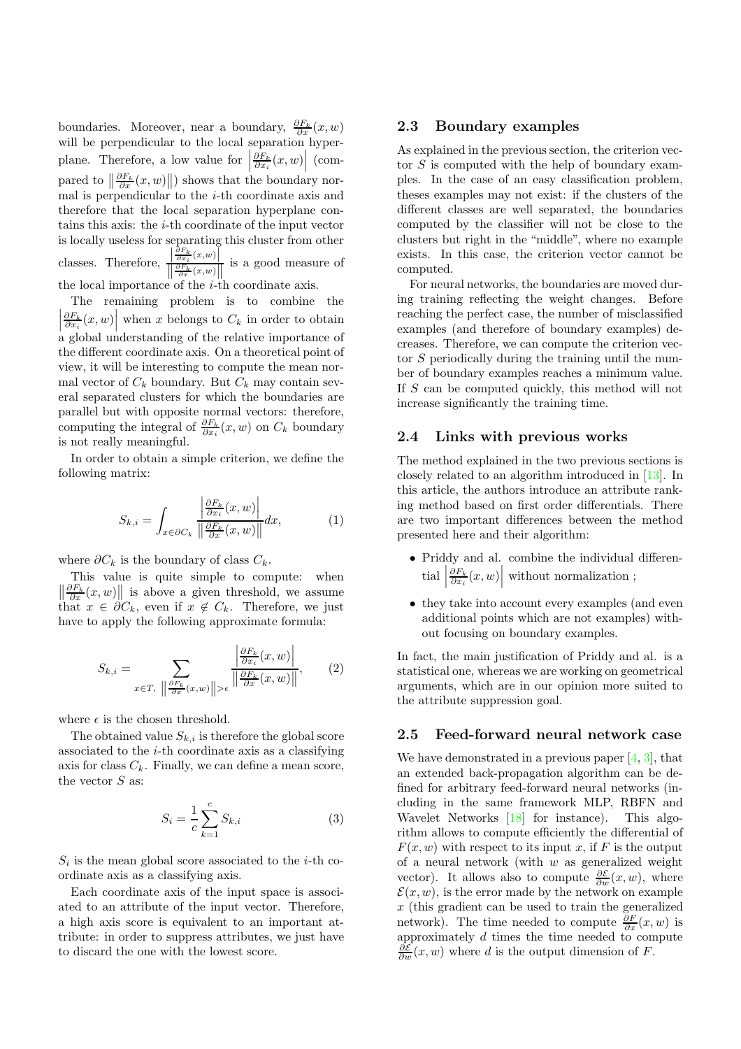boundaries. Moreover, near a boundary,  $\frac{\partial F_k}{\partial x}(x, w)$ will be perpendicular to the local separation hyperplane. Therefore, a low value for  $\left| \begin{array}{c} 1 & 0 \end{array} \right|$  $\frac{\partial F_k}{\partial x_i}(x,w)$  (compared to  $\left\|\frac{\partial F_k}{\partial x}(x, w)\right\|$  shows that the boundary normal is perpendicular to the  $i$ -th coordinate axis and therefore that the local separation hyperplane contains this axis: the  $i$ -th coordinate of the input vector is locally useless for separating this cluster from other classes. Therefore,  $\frac{\left|\frac{\partial F_k}{\partial x_i}(x,w)\right|}{\left|\frac{\partial F_k}{\partial x}(x,w)\right|}$ is a good measure of the local importance of the  $i$ -th coordinate axis.

The remaining problem is to combine the  $\left|\frac{\partial F_k}{\partial x_i}(x,w)\right|$  when x belongs to  $C_k$  in order to obtain  $\begin{bmatrix} \sigma x_i & \cdots & \cdots \\ \sigma x_i & \cdots & \cdots \end{bmatrix}$ <br>a global understanding of the relative importance of the different coordinate axis. On a theoretical point of view, it will be interesting to compute the mean normal vector of  $C_k$  boundary. But  $C_k$  may contain several separated clusters for which the boundaries are parallel but with opposite normal vectors: therefore, computing the integral of  $\frac{\partial F_k}{\partial x_i}(x, w)$  on  $C_k$  boundary is not really meaningful.

In order to obtain a simple criterion, we define the following matrix:

$$
S_{k,i} = \int_{x \in \partial C_k} \frac{\left| \frac{\partial F_k}{\partial x_i}(x, w) \right|}{\left\| \frac{\partial F_k}{\partial x}(x, w) \right\|} dx, \tag{1}
$$

where  $\partial C_k$  is the boundary of class  $C_k$ .

This value is quite simple to compute: when  $\left\| \frac{\partial F_k}{\partial x}(x, w) \right\|$  is above a given threshold, we assume that  $x \in \partial C_k$ , even if  $x \notin C_k$ . Therefore, we just have to apply the following approximate formula:

$$
S_{k,i} = \sum_{x \in T, \ \left\| \frac{\partial F_k}{\partial x}(x,w) \right\| > \epsilon} \frac{\left| \frac{\partial F_k}{\partial x_i}(x,w) \right|}{\left\| \frac{\partial F_k}{\partial x}(x,w) \right\|},\tag{2}
$$

where  $\epsilon$  is the chosen threshold.

The obtained value  $S_{k,i}$  is therefore the global score associated to the i-th coordinate axis as a classifying axis for class  $C_k$ . Finally, we can define a mean score, the vector  $S$  as:

$$
S_i = \frac{1}{c} \sum_{k=1}^{c} S_{k,i}
$$
 (3)

 $S_i$  is the mean global score associated to the *i*-th coordinate axis as a classifying axis.

Each coordinate axis of the input space is associated to an attribute of the input vector. Therefore, a high axis score is equivalent to an important attribute: in order to suppress attributes, we just have to discard the one with the lowest score.

#### 2.3 Boundary examples

As explained in the previous section, the criterion vector  $S$  is computed with the help of boundary examples. In the case of an easy classification problem, theses examples may not exist: if the clusters of the different classes are well separated, the boundaries computed by the classifier will not be close to the clusters but right in the "middle", where no example exists. In this case, the criterion vector cannot be computed.

For neural networks, the boundaries are moved during training reflecting the weight changes. Before reaching the perfect case, the number of misclassified examples (and therefore of boundary examples) decreases. Therefore, we can compute the criterion vector S periodically during the training until the number of boundary examples reaches a minimum value. If S can be computed quickly, this method will not increase significantly the training time.

#### 2.4 Links with previous works

The method explained in the two previous sections is closely related to an algorithm introduced in [\[13\]](#page-6-4). In this article, the authors introduce an attribute ranking method based on first order differentials. There are two important differences between the method presented here and their algorithm:

- Priddy and al. combine the individual differen- $\text{trial}$  $\frac{\partial F_k}{\partial x_i}(x,w)$  without normalization ;
- they take into account every examples (and even additional points which are not examples) without focusing on boundary examples.

In fact, the main justification of Priddy and al. is a statistical one, whereas we are working on geometrical arguments, which are in our opinion more suited to the attribute suppression goal.

#### 2.5 Feed-forward neural network case

We have demonstrated in a previous paper  $[4, 3]$  $[4, 3]$  $[4, 3]$ , that an extended back-propagation algorithm can be defined for arbitrary feed-forward neural networks (including in the same framework MLP, RBFN and Wavelet Networks [\[18\]](#page-6-5) for instance). This algorithm allows to compute efficiently the differential of  $F(x, w)$  with respect to its input x, if F is the output of a neural network (with  $w$  as generalized weight vector). It allows also to compute  $\frac{\partial \mathcal{E}}{\partial w}(x, w)$ , where  $\mathcal{E}(x, w)$ , is the error made by the network on example  $x$  (this gradient can be used to train the generalized network). The time needed to compute  $\frac{\partial F}{\partial x}(x, w)$  is approximately  $d$  times the time needed to compute  $\frac{\partial \mathcal{E}}{\partial w}(x, w)$  where d is the output dimension of F.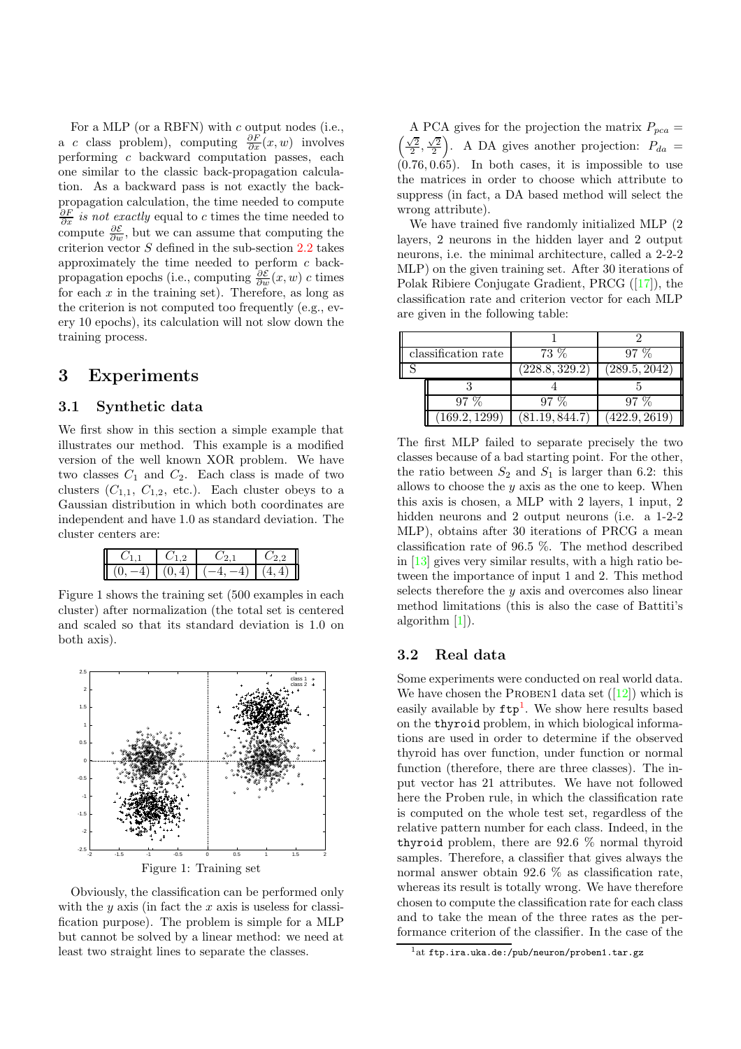For a MLP (or a RBFN) with c output nodes (i.e., a c class problem), computing  $\frac{\partial F}{\partial x}(x, w)$  involves performing c backward computation passes, each one similar to the classic back-propagation calculation. As a backward pass is not exactly the backpropagation calculation, the time needed to compute  $\frac{\partial F}{\partial x}$  is not exactly equal to c times the time needed to compute  $\frac{\partial \mathcal{E}}{\partial w}$ , but we can assume that computing the criterion vector S defined in the sub-section [2.2](#page-1-1) takes approximately the time needed to perform  $c$  backpropagation epochs (i.e., computing  $\frac{\partial \mathcal{E}}{\partial w}(x, w)$  c times for each  $x$  in the training set). Therefore, as long as the criterion is not computed too frequently (e.g., every 10 epochs), its calculation will not slow down the training process.

### <span id="page-3-0"></span>3 Experiments

#### 3.1 Synthetic data

We first show in this section a simple example that illustrates our method. This example is a modified version of the well known XOR problem. We have two classes  $C_1$  and  $C_2$ . Each class is made of two clusters  $(C_{1,1}, C_{1,2}, \text{ etc.})$ . Each cluster obeys to a Gaussian distribution in which both coordinates are independent and have 1.0 as standard deviation. The cluster centers are:

| Ш |  |  |
|---|--|--|

Figure 1 shows the training set (500 examples in each cluster) after normalization (the total set is centered and scaled so that its standard deviation is 1.0 on both axis).



Obviously, the classification can be performed only with the  $y$  axis (in fact the  $x$  axis is useless for classification purpose). The problem is simple for a MLP but cannot be solved by a linear method: we need at least two straight lines to separate the classes.

A PCA gives for the projection the matrix  $P_{pca} =$  $\left(\frac{\sqrt{2}}{2},\frac{\sqrt{2}}{2}\right)$ . A DA gives another projection:  $P_{da}$  =  $(0.76, 0.65)$ . In both cases, it is impossible to use the matrices in order to choose which attribute to suppress (in fact, a DA based method will select the wrong attribute).

We have trained five randomly initialized MLP (2 layers, 2 neurons in the hidden layer and 2 output neurons, i.e. the minimal architecture, called a 2-2-2 MLP) on the given training set. After 30 iterations of Polak Ribiere Conjugate Gradient, PRCG ([\[17\]](#page-6-1)), the classification rate and criterion vector for each MLP are given in the following table:

| classification rate | $73\%$         | $97\%$        |
|---------------------|----------------|---------------|
|                     | (228.8, 329.2) | (289.5, 2042) |
|                     |                |               |
| $97\%$              | $97\%$         | $97\%$        |
| (169.2, 1299)       | (81.19, 844.7) | (422.9, 2619) |

The first MLP failed to separate precisely the two classes because of a bad starting point. For the other, the ratio between  $S_2$  and  $S_1$  is larger than 6.2: this allows to choose the  $y$  axis as the one to keep. When this axis is chosen, a MLP with 2 layers, 1 input, 2 hidden neurons and 2 output neurons (i.e. a 1-2-2 MLP), obtains after 30 iterations of PRCG a mean classification rate of 96.5 %. The method described in [\[13\]](#page-6-4) gives very similar results, with a high ratio between the importance of input 1 and 2. This method selects therefore the  $y$  axis and overcomes also linear method limitations (this is also the case of Battiti's algorithm [\[1\]](#page-5-9)).

#### 3.2 Real data

Some experiments were conducted on real world data. We have chosen the PROBEN1 data set  $([12])$  $([12])$  $([12])$  which is easily available by  $ftp^1$  $ftp^1$ . We show here results based on the thyroid problem, in which biological informations are used in order to determine if the observed thyroid has over function, under function or normal function (therefore, there are three classes). The input vector has 21 attributes. We have not followed here the Proben rule, in which the classification rate is computed on the whole test set, regardless of the relative pattern number for each class. Indeed, in the thyroid problem, there are 92.6 % normal thyroid samples. Therefore, a classifier that gives always the normal answer obtain 92.6 % as classification rate, whereas its result is totally wrong. We have therefore chosen to compute the classification rate for each class and to take the mean of the three rates as the performance criterion of the classifier. In the case of the

<span id="page-3-1"></span> $1$ at ftp.ira.uka.de:/pub/neuron/proben1.tar.gz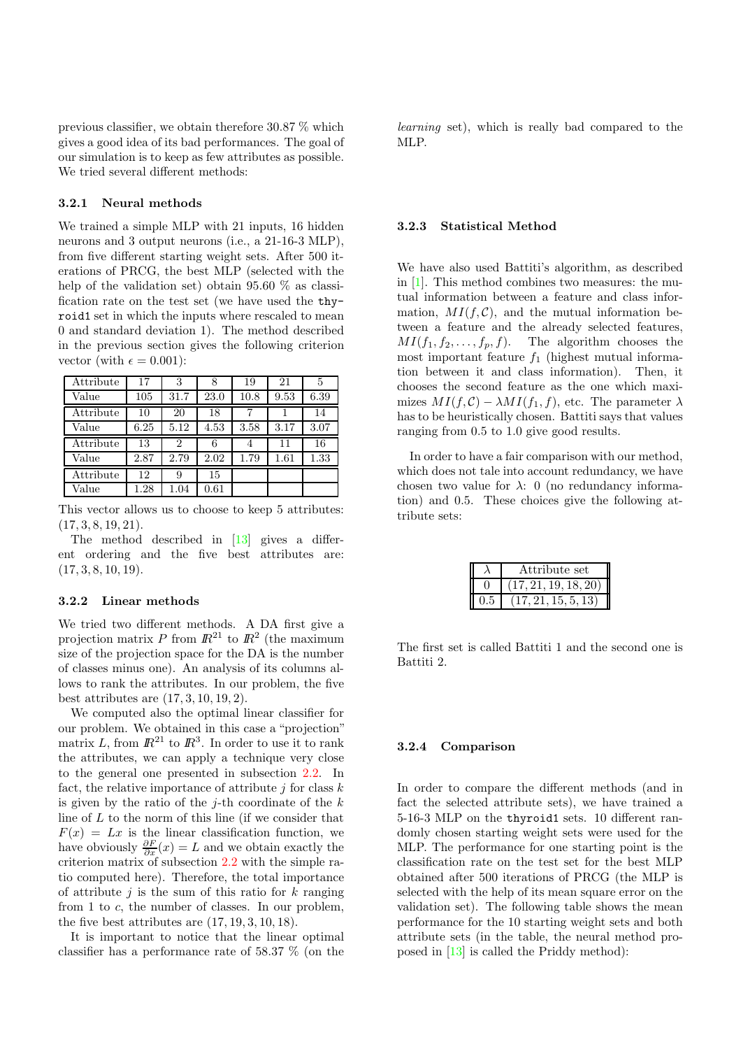previous classifier, we obtain therefore 30.87 % which gives a good idea of its bad performances. The goal of our simulation is to keep as few attributes as possible. We tried several different methods:

#### 3.2.1 Neural methods

We trained a simple MLP with 21 inputs, 16 hidden neurons and 3 output neurons (i.e., a 21-16-3 MLP), from five different starting weight sets. After 500 iterations of PRCG, the best MLP (selected with the help of the validation set) obtain 95.60 % as classification rate on the test set (we have used the thyroid1 set in which the inputs where rescaled to mean 0 and standard deviation 1). The method described in the previous section gives the following criterion vector (with  $\epsilon = 0.001$ ):

| Attribute | 17   | 3              | 8    | 19   | 21   | 5    |
|-----------|------|----------------|------|------|------|------|
| Value     | 105  | 31.7           | 23.0 | 10.8 | 9.53 | 6.39 |
| Attribute | 10   | 20             | 18   |      |      | 14   |
| Value     | 6.25 | 5.12           | 4.53 | 3.58 | 3.17 | 3.07 |
| Attribute | 13   | $\overline{2}$ | 6    | 4    | 11   | 16   |
| Value     | 2.87 | 2.79           | 2.02 | 1.79 | 1.61 | 1.33 |
| Attribute | 12   | 9              | 15   |      |      |      |
| Value     | 1.28 | 1.04           | 0.61 |      |      |      |

This vector allows us to choose to keep 5 attributes:  $(17, 3, 8, 19, 21).$ 

The method described in [\[13\]](#page-6-4) gives a different ordering and the five best attributes are:  $(17, 3, 8, 10, 19).$ 

#### 3.2.2 Linear methods

We tried two different methods. A DA first give a projection matrix P from  $\mathbb{R}^{21}$  to  $\mathbb{R}^2$  (the maximum size of the projection space for the DA is the number of classes minus one). An analysis of its columns allows to rank the attributes. In our problem, the five best attributes are (17, 3, 10, 19, 2).

We computed also the optimal linear classifier for our problem. We obtained in this case a "projection" matrix L, from  $\mathbb{R}^{21}$  to  $\mathbb{R}^3$ . In order to use it to rank the attributes, we can apply a technique very close to the general one presented in subsection [2.2.](#page-1-1) In fact, the relative importance of attribute  $j$  for class  $k$ is given by the ratio of the  $j$ -th coordinate of the  $k$ line of  $L$  to the norm of this line (if we consider that  $F(x) = Lx$  is the linear classification function, we have obviously  $\frac{\partial F}{\partial x}(x) = L$  and we obtain exactly the criterion matrix of subsection [2.2](#page-1-1) with the simple ratio computed here). Therefore, the total importance of attribute  $j$  is the sum of this ratio for  $k$  ranging from 1 to c, the number of classes. In our problem, the five best attributes are  $(17, 19, 3, 10, 18)$ .

It is important to notice that the linear optimal classifier has a performance rate of 58.37 % (on the

learning set), which is really bad compared to the MLP.

#### 3.2.3 Statistical Method

We have also used Battiti's algorithm, as described in [\[1\]](#page-5-9). This method combines two measures: the mutual information between a feature and class information,  $MI(f, \mathcal{C})$ , and the mutual information between a feature and the already selected features,  $MI(f_1, f_2, \ldots, f_p, f)$ . The algorithm chooses the most important feature  $f_1$  (highest mutual information between it and class information). Then, it chooses the second feature as the one which maximizes  $MI(f, C) - \lambda MI(f_1, f)$ , etc. The parameter  $\lambda$ has to be heuristically chosen. Battiti says that values ranging from 0.5 to 1.0 give good results.

In order to have a fair comparison with our method, which does not tale into account redundancy, we have chosen two value for  $\lambda$ : 0 (no redundancy information) and 0.5. These choices give the following attribute sets:

| Attribute set      |
|--------------------|
| 17, 21, 19, 18, 20 |
| 21, 15, 5, 13      |

The first set is called Battiti 1 and the second one is Battiti 2.

#### 3.2.4 Comparison

In order to compare the different methods (and in fact the selected attribute sets), we have trained a 5-16-3 MLP on the thyroid1 sets. 10 different randomly chosen starting weight sets were used for the MLP. The performance for one starting point is the classification rate on the test set for the best MLP obtained after 500 iterations of PRCG (the MLP is selected with the help of its mean square error on the validation set). The following table shows the mean performance for the 10 starting weight sets and both attribute sets (in the table, the neural method proposed in [\[13\]](#page-6-4) is called the Priddy method):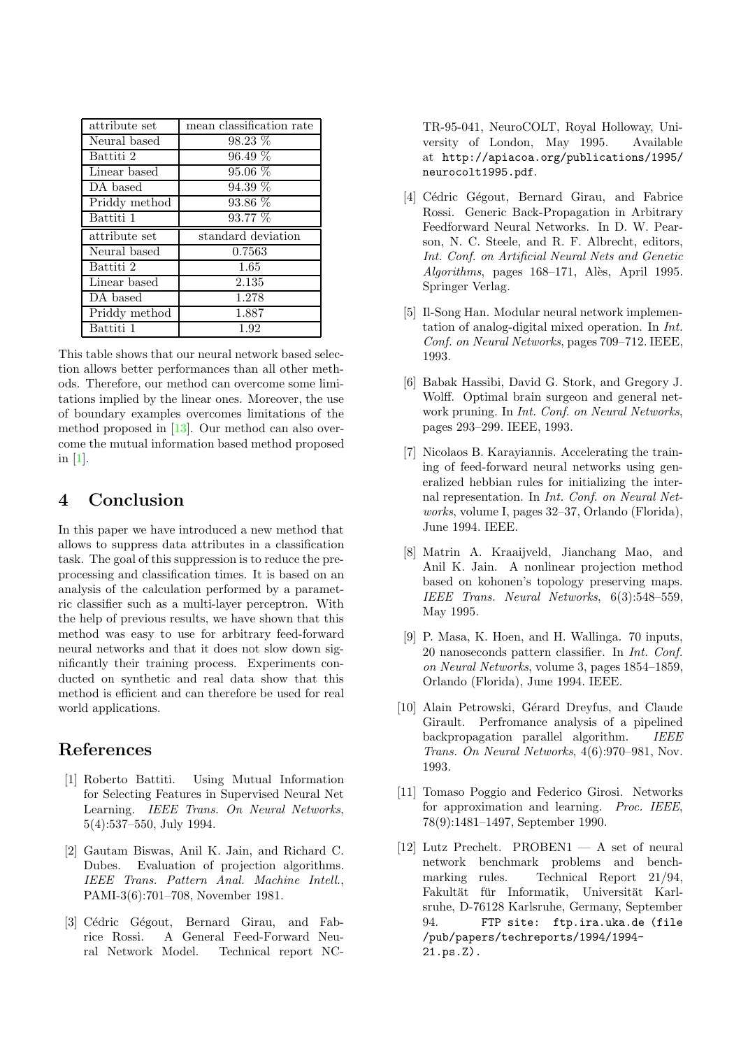| attribute set | mean classification rate |
|---------------|--------------------------|
| Neural based  | 98.23 %                  |
| Battiti 2     | 96.49 %                  |
| Linear based  | $95.06\%$                |
| DA based      | 94.39 %                  |
| Priddy method | $93.86\%$                |
| Battiti 1     | 93.77 %                  |
|               |                          |
| attribute set | standard deviation       |
| Neural based  | 0.7563                   |
| Battiti 2     | 1.65                     |
| Linear based  | 2.135                    |
| DA based      | 1.278                    |
| Priddy method | 1.887                    |

This table shows that our neural network based selection allows better performances than all other methods. Therefore, our method can overcome some limitations implied by the linear ones. Moreover, the use of boundary examples overcomes limitations of the method proposed in [\[13\]](#page-6-4). Our method can also overcome the mutual information based method proposed in [\[1\]](#page-5-9).

## 4 Conclusion

In this paper we have introduced a new method that allows to suppress data attributes in a classification task. The goal of this suppression is to reduce the preprocessing and classification times. It is based on an analysis of the calculation performed by a parametric classifier such as a multi-layer perceptron. With the help of previous results, we have shown that this method was easy to use for arbitrary feed-forward neural networks and that it does not slow down significantly their training process. Experiments conducted on synthetic and real data show that this method is efficient and can therefore be used for real world applications.

## <span id="page-5-9"></span>References

- [1] Roberto Battiti. Using Mutual Information for Selecting Features in Supervised Neural Net Learning. IEEE Trans. On Neural Networks, 5(4):537–550, July 1994.
- <span id="page-5-5"></span>[2] Gautam Biswas, Anil K. Jain, and Richard C. Dubes. Evaluation of projection algorithms. IEEE Trans. Pattern Anal. Machine Intell., PAMI-3(6):701–708, November 1981.
- <span id="page-5-10"></span>[3] Cédric Gégout, Bernard Girau, and Fabrice Rossi. A General Feed-Forward Neural Network Model. Technical report NC-

TR-95-041, NeuroCOLT, Royal Holloway, University of London, May 1995. Available at http://apiacoa.org/publications/1995/ neurocolt1995.pdf.

- <span id="page-5-8"></span>[4] Cédric Gégout, Bernard Girau, and Fabrice Rossi. Generic Back-Propagation in Arbitrary Feedforward Neural Networks. In D. W. Pearson, N. C. Steele, and R. F. Albrecht, editors, Int. Conf. on Artificial Neural Nets and Genetic  $Algorithms$ , pages  $168-171$ , Alès, April 1995. Springer Verlag.
- <span id="page-5-1"></span>[5] Il-Song Han. Modular neural network implementation of analog-digital mixed operation. In Int. Conf. on Neural Networks, pages 709–712. IEEE, 1993.
- <span id="page-5-4"></span>[6] Babak Hassibi, David G. Stork, and Gregory J. Wolff. Optimal brain surgeon and general network pruning. In Int. Conf. on Neural Networks, pages 293–299. IEEE, 1993.
- <span id="page-5-0"></span>[7] Nicolaos B. Karayiannis. Accelerating the training of feed-forward neural networks using generalized hebbian rules for initializing the internal representation. In Int. Conf. on Neural Networks, volume I, pages 32–37, Orlando (Florida), June 1994. IEEE.
- <span id="page-5-6"></span>[8] Matrin A. Kraaijveld, Jianchang Mao, and Anil K. Jain. A nonlinear projection method based on kohonen's topology preserving maps. IEEE Trans. Neural Networks, 6(3):548–559, May 1995.
- <span id="page-5-2"></span>[9] P. Masa, K. Hoen, and H. Wallinga. 70 inputs, 20 nanoseconds pattern classifier. In Int. Conf. on Neural Networks, volume 3, pages 1854–1859, Orlando (Florida), June 1994. IEEE.
- <span id="page-5-3"></span>[10] Alain Petrowski, Gérard Dreyfus, and Claude Girault. Perfromance analysis of a pipelined backpropagation parallel algorithm. IEEE Trans. On Neural Networks, 4(6):970–981, Nov. 1993.
- <span id="page-5-7"></span>[11] Tomaso Poggio and Federico Girosi. Networks for approximation and learning. Proc. IEEE, 78(9):1481–1497, September 1990.
- <span id="page-5-11"></span>[12] Lutz Prechelt. PROBEN1 — A set of neural network benchmark problems and benchmarking rules. Technical Report 21/94, Fakultät für Informatik, Universität Karlsruhe, D-76128 Karlsruhe, Germany, September 94. FTP site: ftp.ira.uka.de (file /pub/papers/techreports/1994/1994- 21.ps.Z).